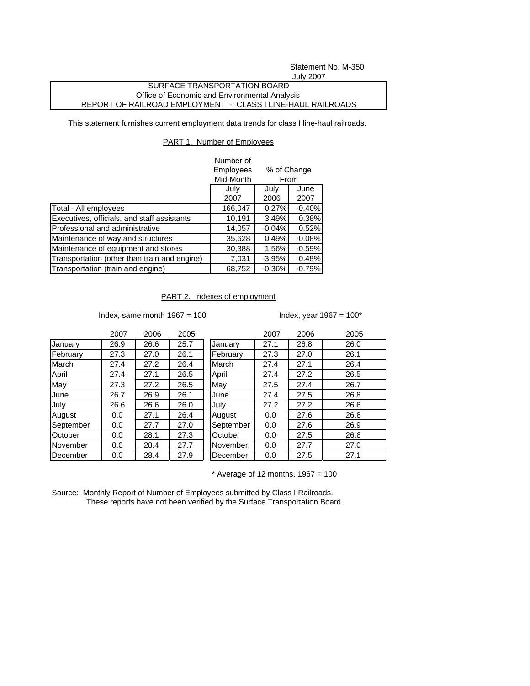Statement No. M-350 July 2007

## SURFACE TRANSPORTATION BOARD Office of Economic and Environmental Analysis REPORT OF RAILROAD EMPLOYMENT - CLASS I LINE-HAUL RAILROADS

This statement furnishes current employment data trends for class I line-haul railroads.

## PART 1. Number of Employees

|                                              | Number of |             |          |  |
|----------------------------------------------|-----------|-------------|----------|--|
|                                              | Employees | % of Change |          |  |
|                                              | Mid-Month | From        |          |  |
|                                              | July      | July        | June     |  |
|                                              | 2007      | 2006        | 2007     |  |
| Total - All employees                        | 166,047   | 0.27%       | $-0.40%$ |  |
| Executives, officials, and staff assistants  | 10,191    | 3.49%       | 0.38%    |  |
| Professional and administrative              | 14,057    | $-0.04%$    | 0.52%    |  |
| Maintenance of way and structures            | 35,628    | 0.49%       | $-0.08%$ |  |
| Maintenance of equipment and stores          | 30,388    | 1.56%       | $-0.59%$ |  |
| Transportation (other than train and engine) | 7,031     | $-3.95%$    | $-0.48%$ |  |
| Transportation (train and engine)            | 68,752    | $-0.36%$    | $-0.79%$ |  |

## PART 2. Indexes of employment

Index, same month  $1967 = 100$  Index, year  $1967 = 100*$ 

|           | 2007 | 2006 | 2005 |           | 2007 | 2006 | 2005 |
|-----------|------|------|------|-----------|------|------|------|
| January   | 26.9 | 26.6 | 25.7 | January   | 27.1 | 26.8 | 26.0 |
| February  | 27.3 | 27.0 | 26.1 | February  | 27.3 | 27.0 | 26.1 |
| March     | 27.4 | 27.2 | 26.4 | March     | 27.4 | 27.1 | 26.4 |
| April     | 27.4 | 27.1 | 26.5 | April     | 27.4 | 27.2 | 26.5 |
| May       | 27.3 | 27.2 | 26.5 | May       | 27.5 | 27.4 | 26.7 |
| June      | 26.7 | 26.9 | 26.1 | June      | 27.4 | 27.5 | 26.8 |
| July      | 26.6 | 26.6 | 26.0 | July      | 27.2 | 27.2 | 26.6 |
| August    | 0.0  | 27.1 | 26.4 | August    | 0.0  | 27.6 | 26.8 |
| September | 0.0  | 27.7 | 27.0 | September | 0.0  | 27.6 | 26.9 |
| October   | 0.0  | 28.1 | 27.3 | October   | 0.0  | 27.5 | 26.8 |
| November  | 0.0  | 28.4 | 27.7 | November  | 0.0  | 27.7 | 27.0 |
| December  | 0.0  | 28.4 | 27.9 | December  | 0.0  | 27.5 | 27.1 |

 $*$  Average of 12 months, 1967 = 100

Source: Monthly Report of Number of Employees submitted by Class I Railroads. These reports have not been verified by the Surface Transportation Board.